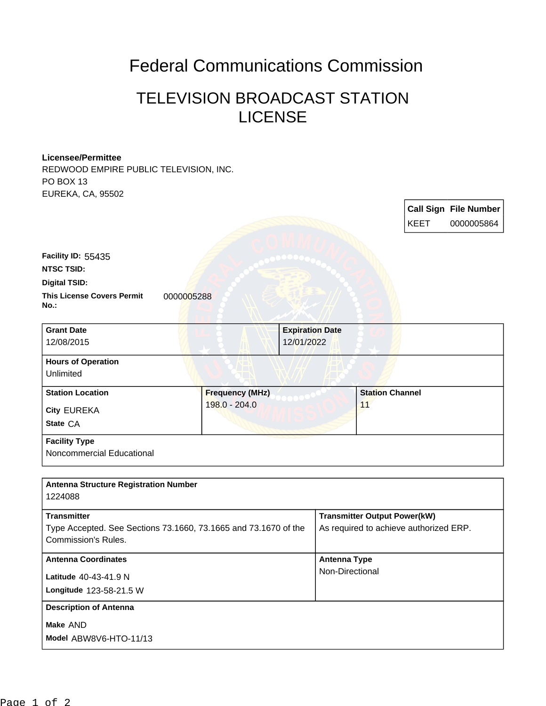## Federal Communications Commission

## TELEVISION BROADCAST STATION LICENSE

## **Licensee/Permittee**

REDWOOD EMPIRE PUBLIC TELEVISION, INC. PO BOX 13 EUREKA, CA, 95502

|                                                         |                        |                        |                        | KEET | <b>Call Sign File Number</b><br>0000005864 |
|---------------------------------------------------------|------------------------|------------------------|------------------------|------|--------------------------------------------|
| Facility ID: 55435                                      |                        |                        |                        |      |                                            |
| <b>NTSC TSID:</b>                                       |                        |                        |                        |      |                                            |
| <b>Digital TSID:</b>                                    |                        |                        |                        |      |                                            |
| <b>This License Covers Permit</b><br>0000005288<br>No.: |                        |                        |                        |      |                                            |
| <b>Grant Date</b>                                       |                        | <b>Expiration Date</b> |                        |      |                                            |
| 12/08/2015                                              |                        | 12/01/2022             |                        |      |                                            |
| <b>Hours of Operation</b>                               |                        |                        |                        |      |                                            |
| <b>Unlimited</b>                                        |                        |                        |                        |      |                                            |
| <b>Station Location</b>                                 | <b>Frequency (MHz)</b> |                        | <b>Station Channel</b> |      |                                            |
| City EUREKA                                             | 198.0 - 204.0          |                        | 11                     |      |                                            |
| State CA                                                |                        |                        |                        |      |                                            |
| <b>Facility Type</b>                                    |                        |                        |                        |      |                                            |
| Noncommercial Educational                               |                        |                        |                        |      |                                            |

| <b>Antenna Structure Registration Number</b>                    |                                        |  |  |
|-----------------------------------------------------------------|----------------------------------------|--|--|
| 1224088                                                         |                                        |  |  |
| <b>Transmitter</b>                                              | <b>Transmitter Output Power(kW)</b>    |  |  |
| Type Accepted. See Sections 73.1660, 73.1665 and 73.1670 of the | As required to achieve authorized ERP. |  |  |
| Commission's Rules.                                             |                                        |  |  |
| <b>Antenna Coordinates</b>                                      | Antenna Type                           |  |  |
| Latitude 40-43-41.9 N                                           | Non-Directional                        |  |  |
| Longitude 123-58-21.5 W                                         |                                        |  |  |
| <b>Description of Antenna</b>                                   |                                        |  |  |
| Make AND                                                        |                                        |  |  |
| Model ABW8V6-HTO-11/13                                          |                                        |  |  |